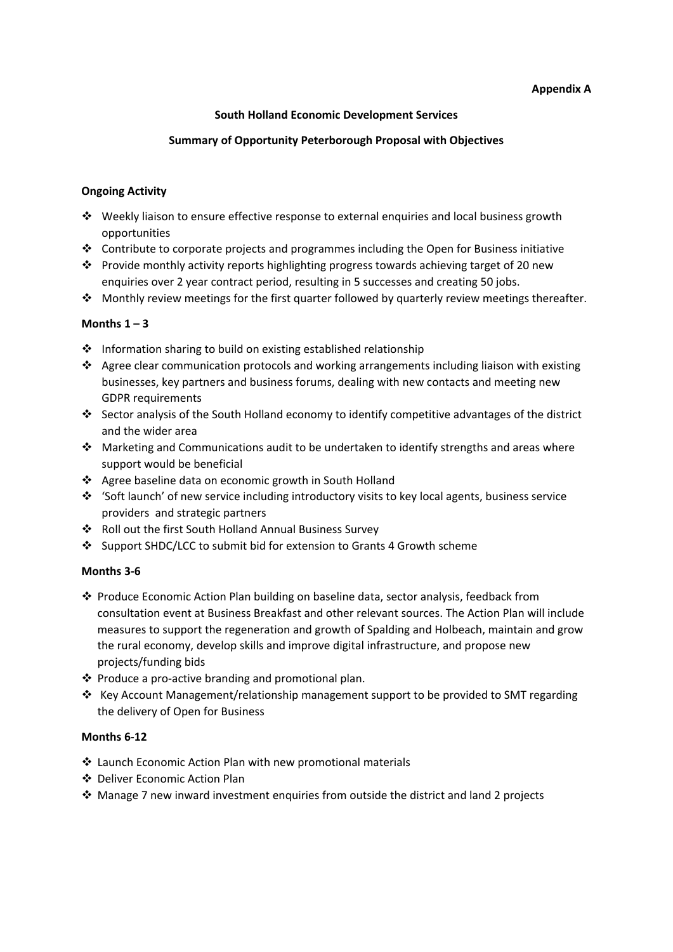# **Appendix A**

# **South Holland Economic Development Services**

### **Summary of Opportunity Peterborough Proposal with Objectives**

# **Ongoing Activity**

- Weekly liaison to ensure effective response to external enquiries and local business growth opportunities
- $\cdot \cdot$  Contribute to corporate projects and programmes including the Open for Business initiative
- \* Provide monthly activity reports highlighting progress towards achieving target of 20 new enquiries over 2 year contract period, resulting in 5 successes and creating 50 jobs.
- $\cdot \cdot$  Monthly review meetings for the first quarter followed by quarterly review meetings thereafter.

# **Months 1 – 3**

- ❖ Information sharing to build on existing established relationship
- Agree clear communication protocols and working arrangements including liaison with existing businesses, key partners and business forums, dealing with new contacts and meeting new GDPR requirements
- Sector analysis of the South Holland economy to identify competitive advantages of the district and the wider area
- Marketing and Communications audit to be undertaken to identify strengths and areas where support would be beneficial
- Agree baseline data on economic growth in South Holland
- 'Soft launch' of new service including introductory visits to key local agents, business service providers and strategic partners
- Roll out the first South Holland Annual Business Survey
- Support SHDC/LCC to submit bid for extension to Grants 4 Growth scheme

#### **Months 3-6**

- $\cdot$  Produce Economic Action Plan building on baseline data, sector analysis, feedback from consultation event at Business Breakfast and other relevant sources. The Action Plan will include measures to support the regeneration and growth of Spalding and Holbeach, maintain and grow the rural economy, develop skills and improve digital infrastructure, and propose new projects/funding bids
- $\triangle$  Produce a pro-active branding and promotional plan.
- \* Key Account Management/relationship management support to be provided to SMT regarding the delivery of Open for Business

# **Months 6-12**

- Launch Economic Action Plan with new promotional materials
- Deliver Economic Action Plan
- $\cdot$  Manage 7 new inward investment enquiries from outside the district and land 2 projects